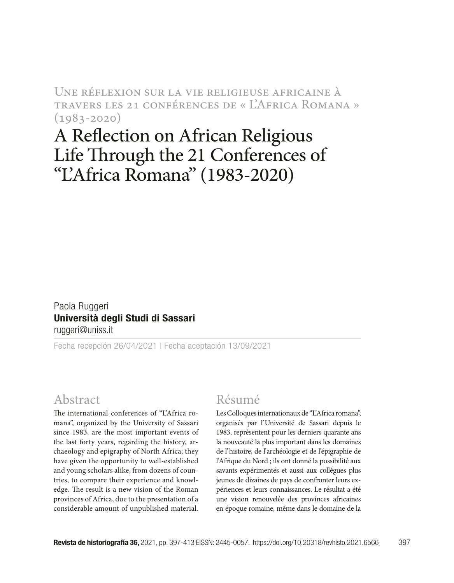Une réflexion sur la vie religieuse africaine à travers les 21 conférences de « L'Africa Romana »  $(1983 - 2020)$ 

# A Reflection on African Religious Life Through the 21 Conferences of "L'Africa Romana" (1983-2020)

Paola Ruggeri Università degli Studi di Sassari ruggeri@uniss.it

Fecha recepción 26/04/2021 | Fecha aceptación 13/09/2021

# Abstract

The international conferences of "L'Africa romana", organized by the University of Sassari since 1983, are the most important events of the last forty years, regarding the history, archaeology and epigraphy of North Africa; they have given the opportunity to well-established and young scholars alike, from dozens of countries, to compare their experience and knowledge. The result is a new vision of the Roman provinces of Africa, due to the presentation of a considerable amount of unpublished material.

#### Résumé

Les Colloques internationaux de "L'Africa romana", organisés par l'Université de Sassari depuis le 1983, représentent pour les derniers quarante ans la nouveauté la plus important dans les domaines de l'histoire, de l'archéologie et de l'épigraphie de l'Afrique du Nord ; ils ont donné la possibilité aux savants expérimentés et aussi aux collègues plus jeunes de dizaines de pays de confronter leurs expériences et leurs connaissances. Le résultat a été une vision renouvelée des provinces africaines en époque romaine, même dans le domaine de la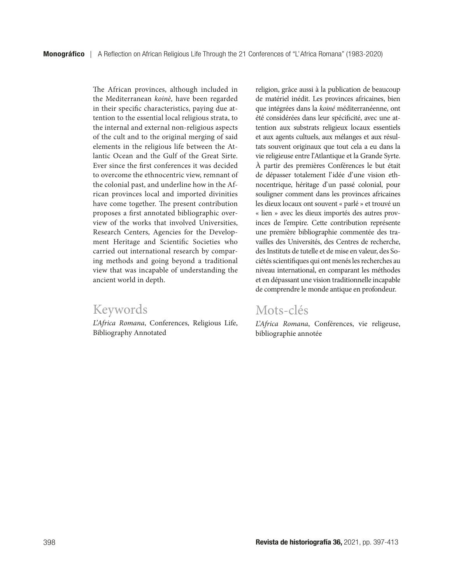The African provinces, although included in the Mediterranean *koinè,* have been regarded in their specific characteristics, paying due attention to the essential local religious strata, to the internal and external non-religious aspects of the cult and to the original merging of said elements in the religious life between the Atlantic Ocean and the Gulf of the Great Sirte. Ever since the first conferences it was decided to overcome the ethnocentric view, remnant of the colonial past, and underline how in the African provinces local and imported divinities have come together. The present contribution proposes a first annotated bibliographic overview of the works that involved Universities, Research Centers, Agencies for the Development Heritage and Scientific Societies who carried out international research by comparing methods and going beyond a traditional view that was incapable of understanding the ancient world in depth.

## Keywords

*L'Africa Romana*, Conferences, Religious Life, Bibliography Annotated

religion, grâce aussi à la publication de beaucoup de matériel inédit. Les provinces africaines, bien que intégrées dans la *koiné* méditerranéenne, ont été considérées dans leur spécificité, avec une attention aux substrats religieux locaux essentiels et aux agents cultuels, aux mélanges et aux résultats souvent originaux que tout cela a eu dans la vie religieuse entre l'Atlantique et la Grande Syrte. À partir des premières Conférences le but était de dépasser totalement l'idée d'une vision ethnocentrique, héritage d'un passé colonial, pour souligner comment dans les provinces africaines les dieux locaux ont souvent « parlé » et trouvé un « lien » avec les dieux importés des autres provinces de l'empire. Cette contribution représente une première bibliographie commentée des travailles des Universités, des Centres de recherche, des Instituts de tutelle et de mise en valeur, des Sociétés scientifiques qui ont menés les recherches au niveau international, en comparant les méthodes et en dépassant une vision traditionnelle incapable de comprendre le monde antique en profondeur.

## Mots-clés

*L'Africa Romana*, Conférences, vie religeuse, bibliographie annotée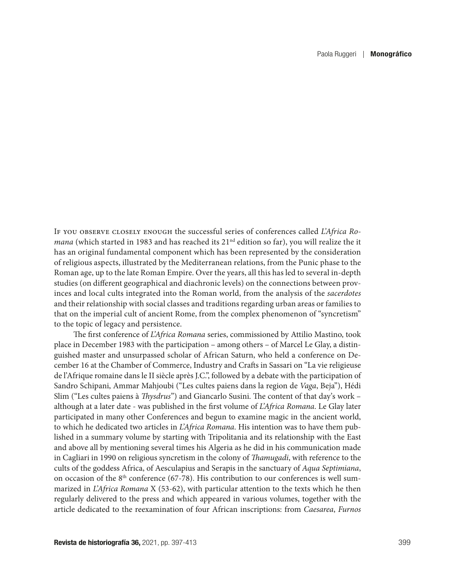If you observe closely enough the successful series of conferences called *L'Africa Romana* (which started in 1983 and has reached its 21<sup>nd</sup> edition so far), you will realize the it has an original fundamental component which has been represented by the consideration of religious aspects, illustrated by the Mediterranean relations, from the Punic phase to the Roman age, up to the late Roman Empire. Over the years, all this has led to several in-depth studies (on different geographical and diachronic levels) on the connections between provinces and local cults integrated into the Roman world, from the analysis of the *sacerdotes* and their relationship with social classes and traditions regarding urban areas or families to that on the imperial cult of ancient Rome, from the complex phenomenon of "syncretism" to the topic of legacy and persistence.

The first conference of *L'Africa Romana* series, commissioned by Attilio Mastino, took place in December 1983 with the participation – among others – of Marcel Le Glay, a distinguished master and unsurpassed scholar of African Saturn, who held a conference on December 16 at the Chamber of Commerce, Industry and Crafts in Sassari on "La vie religieuse de l'Afrique romaine dans le II siècle après J.C.", followed by a debate with the participation of Sandro Schipani, Ammar Mahjoubi ("Les cultes paiens dans la region de *Vaga*, Beja"), Hédi Slim ("Les cultes paiens à *Thysdrus*") and Giancarlo Susini. The content of that day's work – although at a later date - was published in the first volume of *L'Africa Romana*. Le Glay later participated in many other Conferences and begun to examine magic in the ancient world, to which he dedicated two articles in *L'Africa Romana*. His intention was to have them published in a summary volume by starting with Tripolitania and its relationship with the East and above all by mentioning several times his Algeria as he did in his communication made in Cagliari in 1990 on religious syncretism in the colony of *Thamugadi*, with reference to the cults of the goddess Africa, of Aesculapius and Serapis in the sanctuary of *Aqua Septimiana*, on occasion of the  $8<sup>th</sup>$  conference (67-78). His contribution to our conferences is well summarized in *L'Africa Romana* X (53-62), with particular attention to the texts which he then regularly delivered to the press and which appeared in various volumes, together with the article dedicated to the reexamination of four African inscriptions: from *Caesarea*, *Furnos*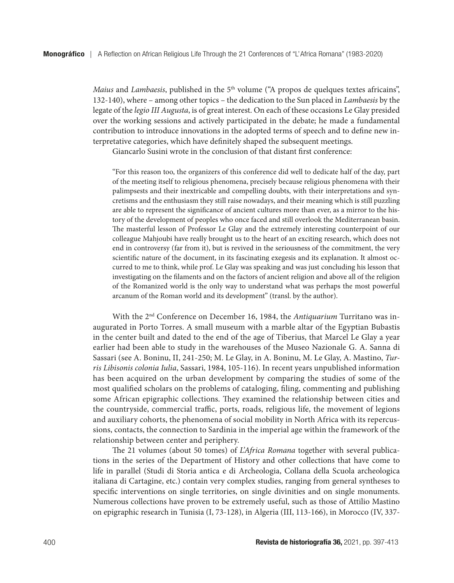*Maius* and *Lambaesis*, published in the 5<sup>th</sup> volume ("A propos de quelques textes africains", 132-140), where – among other topics – the dedication to the Sun placed in *Lambaesis* by the legate of the *legio III Augusta*, is of great interest. On each of these occasions Le Glay presided over the working sessions and actively participated in the debate; he made a fundamental contribution to introduce innovations in the adopted terms of speech and to define new interpretative categories, which have definitely shaped the subsequent meetings.

Giancarlo Susini wrote in the conclusion of that distant first conference:

"For this reason too, the organizers of this conference did well to dedicate half of the day, part of the meeting itself to religious phenomena, precisely because religious phenomena with their palimpsests and their inextricable and compelling doubts, with their interpretations and syncretisms and the enthusiasm they still raise nowadays, and their meaning which is still puzzling are able to represent the significance of ancient cultures more than ever, as a mirror to the history of the development of peoples who once faced and still overlook the Mediterranean basin. The masterful lesson of Professor Le Glay and the extremely interesting counterpoint of our colleague Mahjoubi have really brought us to the heart of an exciting research, which does not end in controversy (far from it), but is revived in the seriousness of the commitment, the very scientific nature of the document, in its fascinating exegesis and its explanation. It almost occurred to me to think, while prof. Le Glay was speaking and was just concluding his lesson that investigating on the filaments and on the factors of ancient religion and above all of the religion of the Romanized world is the only way to understand what was perhaps the most powerful arcanum of the Roman world and its development" (transl. by the author).

With the 2nd Conference on December 16, 1984, the *Antiquarium* Turritano was inaugurated in Porto Torres. A small museum with a marble altar of the Egyptian Bubastis in the center built and dated to the end of the age of Tiberius, that Marcel Le Glay a year earlier had been able to study in the warehouses of the Museo Nazionale G. A. Sanna di Sassari (see A. Boninu, II, 241-250; M. Le Glay, in A. Boninu, M. Le Glay, A. Mastino, *Turris Libisonis colonia Iulia*, Sassari, 1984, 105-116). In recent years unpublished information has been acquired on the urban development by comparing the studies of some of the most qualified scholars on the problems of cataloging, filing, commenting and publishing some African epigraphic collections. They examined the relationship between cities and the countryside, commercial traffic, ports, roads, religious life, the movement of legions and auxiliary cohorts, the phenomena of social mobility in North Africa with its repercussions, contacts, the connection to Sardinia in the imperial age within the framework of the relationship between center and periphery.

The 21 volumes (about 50 tomes) of *L'Africa Romana* together with several publications in the series of the Department of History and other collections that have come to life in parallel (Studi di Storia antica e di Archeologia, Collana della Scuola archeologica italiana di Cartagine, etc.) contain very complex studies, ranging from general syntheses to specific interventions on single territories, on single divinities and on single monuments. Numerous collections have proven to be extremely useful, such as those of Attilio Mastino on epigraphic research in Tunisia (I, 73-128), in Algeria (III, 113-166), in Morocco (IV, 337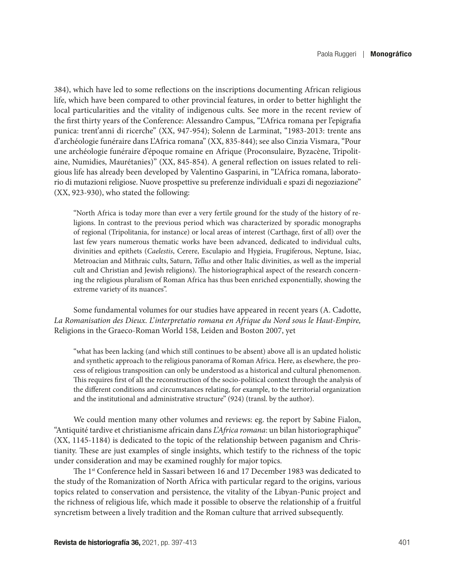384), which have led to some reflections on the inscriptions documenting African religious life, which have been compared to other provincial features, in order to better highlight the local particularities and the vitality of indigenous cults. See more in the recent review of the first thirty years of the Conference: Alessandro Campus, "L'Africa romana per l'epigrafia punica: trent'anni di ricerche" (XX, 947-954); Solenn de Larminat, "1983-2013: trente ans d'archéologie funéraire dans L'Africa romana" (XX, 835-844); see also Cinzia Vismara, "Pour une archéologie funéraire d'époque romaine en Afrique (Proconsulaire, Byzacène, Tripolitaine, Numidies, Maurétanies)" (XX, 845-854). A general reflection on issues related to religious life has already been developed by Valentino Gasparini, in "L'Africa romana, laboratorio di mutazioni religiose. Nuove prospettive su preferenze individuali e spazi di negoziazione" (XX, 923-930), who stated the following:

"North Africa is today more than ever a very fertile ground for the study of the history of religions. In contrast to the previous period which was characterized by sporadic monographs of regional (Tripolitania, for instance) or local areas of interest (Carthage, first of all) over the last few years numerous thematic works have been advanced, dedicated to individual cults, divinities and epithets (*Caelestis*, Cerere, Esculapio and Hygieia, Frugiferous, Neptune, Isiac, Metroacian and Mithraic cults, Saturn, *Tellus* and other Italic divinities, as well as the imperial cult and Christian and Jewish religions). The historiographical aspect of the research concerning the religious pluralism of Roman Africa has thus been enriched exponentially, showing the extreme variety of its nuances".

Some fundamental volumes for our studies have appeared in recent years (A. Cadotte, *La Romanisation des Dieux*. *L'interpretatio romana en Afrique du Nord sous le Haut-Empire,* Religions in the Graeco-Roman World 158, Leiden and Boston 2007, yet

"what has been lacking (and which still continues to be absent) above all is an updated holistic and synthetic approach to the religious panorama of Roman Africa. Here, as elsewhere, the process of religious transposition can only be understood as a historical and cultural phenomenon. This requires first of all the reconstruction of the socio-political context through the analysis of the different conditions and circumstances relating, for example, to the territorial organization and the institutional and administrative structure" (924) (transl. by the author).

We could mention many other volumes and reviews: eg. the report by Sabine Fialon, "Antiquité tardive et christianisme africain dans *L'Africa romana*: un bilan historiographique" (XX, 1145-1184) is dedicated to the topic of the relationship between paganism and Christianity. These are just examples of single insights, which testify to the richness of the topic under consideration and may be examined roughly for major topics.

The 1<sup>st</sup> Conference held in Sassari between 16 and 17 December 1983 was dedicated to the study of the Romanization of North Africa with particular regard to the origins, various topics related to conservation and persistence, the vitality of the Libyan-Punic project and the richness of religious life, which made it possible to observe the relationship of a fruitful syncretism between a lively tradition and the Roman culture that arrived subsequently.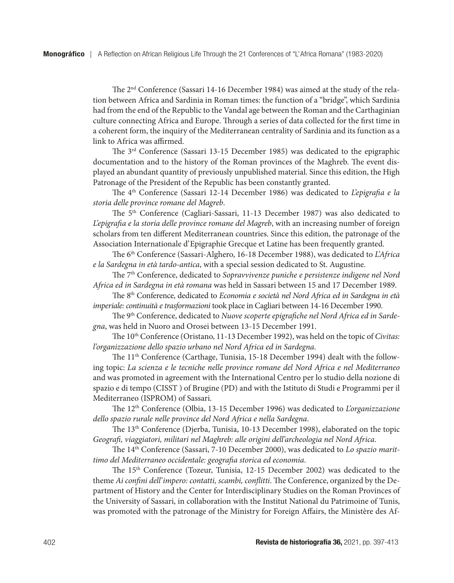The 2nd Conference (Sassari 14-16 December 1984) was aimed at the study of the relation between Africa and Sardinia in Roman times: the function of a "bridge", which Sardinia had from the end of the Republic to the Vandal age between the Roman and the Carthaginian culture connecting Africa and Europe. Through a series of data collected for the first time in a coherent form, the inquiry of the Mediterranean centrality of Sardinia and its function as a link to Africa was affirmed.

The 3rd Conference (Sassari 13-15 December 1985) was dedicated to the epigraphic documentation and to the history of the Roman provinces of the Maghreb. The event displayed an abundant quantity of previously unpublished material. Since this edition, the High Patronage of the President of the Republic has been constantly granted.

The 4th Conference (Sassari 12-14 December 1986) was dedicated to *L'epigrafia e la storia delle province romane del Magreb*.

The 5th Conference (Cagliari-Sassari, 11-13 December 1987) was also dedicated to *L'epigrafia e la storia delle province romane del Magreb*, with an increasing number of foreign scholars from ten different Mediterranean countries. Since this edition, the patronage of the Association Internationale d'Epigraphie Grecque et Latine has been frequently granted.

The 6th Conference (Sassari-Alghero, 16-18 December 1988), was dedicated to *L'Africa e la Sardegna in età tardo-antica*, with a special session dedicated to St. Augustine.

The 7th Conference, dedicated to *Sopravvivenze puniche e persistenze indigene nel Nord Africa ed in Sardegna in età romana* was held in Sassari between 15 and 17 December 1989.

The 8th Conference, dedicated to *Economia e società nel Nord Africa ed in Sardegna in età imperiale: continuità e trasformazioni* took place in Cagliari between 14-16 December 1990.

The 9th Conference, dedicated to *Nuove scoperte epigrafiche nel Nord Africa ed in Sardegna*, was held in Nuoro and Orosei between 13-15 December 1991.

The 10<sup>th</sup> Conference (Oristano, 11-13 December 1992), was held on the topic of *Civitas: l'organizzazione dello spazio urbano nel Nord Africa ed in Sardegna*.

The 11th Conference (Carthage, Tunisia, 15-18 December 1994) dealt with the following topic: *La scienza e le tecniche nelle province romane del Nord Africa e nel Mediterraneo* and was promoted in agreement with the International Centro per lo studio della nozione di spazio e di tempo (CISST ) of Brugine (PD) and with the Istituto di Studi e Programmi per il Mediterraneo (ISPROM) of Sassari.

The 12th Conference (Olbia, 13-15 December 1996) was dedicated to *L'organizzazione dello spazio rurale nelle province del Nord Africa e nella Sardegna*.

The 13th Conference (Djerba, Tunisia, 10-13 December 1998), elaborated on the topic *Geografi, viaggiatori, militari nel Maghreb: alle origini dell'archeologia nel Nord Africa*.

The 14th Conference (Sassari, 7-10 December 2000), was dedicated to *Lo spazio marittimo del Mediterraneo occidentale: geografia storica ed economia*.

The 15th Conference (Tozeur, Tunisia, 12-15 December 2002) was dedicated to the theme *Ai confini dell'impero: contatti, scambi, conflitti*. The Conference, organized by the Department of History and the Center for Interdisciplinary Studies on the Roman Provinces of the University of Sassari, in collaboration with the Institut National du Patrimoine of Tunis, was promoted with the patronage of the Ministry for Foreign Affairs, the Ministère des Af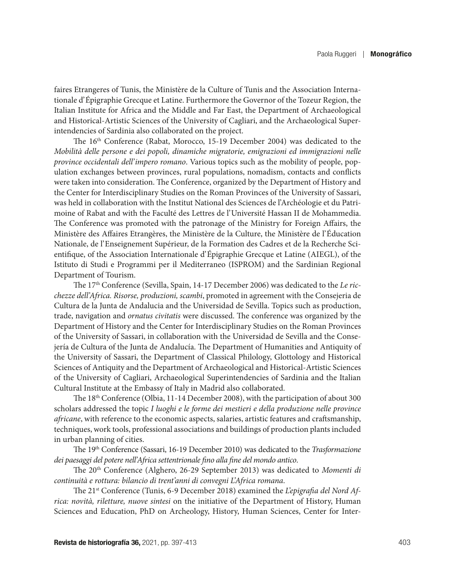faires Etrangeres of Tunis, the Ministère de la Culture of Tunis and the Association Internationale d'Épigraphie Grecque et Latine. Furthermore the Governor of the Tozeur Region, the Italian Institute for Africa and the Middle and Far East, the Department of Archaeological and Historical-Artistic Sciences of the University of Cagliari, and the Archaeological Superintendencies of Sardinia also collaborated on the project.

The 16th Conference (Rabat, Morocco, 15-19 December 2004) was dedicated to the *Mobilità delle persone e dei popoli, dinamiche migratorie, emigrazioni ed immigrazioni nelle province occidentali dell'impero romano*. Various topics such as the mobility of people, population exchanges between provinces, rural populations, nomadism, contacts and conflicts were taken into consideration. The Conference, organized by the Department of History and the Center for Interdisciplinary Studies on the Roman Provinces of the University of Sassari, was held in collaboration with the Institut National des Sciences de l'Archéologie et du Patrimoine of Rabat and with the Faculté des Lettres de l'Université Hassan II de Mohammedia. The Conference was promoted with the patronage of the Ministry for Foreign Affairs, the Ministère des Affaires Etrangères, the Ministère de la Culture, the Ministère de l'Éducation Nationale, de l'Enseignement Supérieur, de la Formation des Cadres et de la Recherche Scientifique, of the Association Internationale d'Épigraphie Grecque et Latine (AIEGL), of the Istituto di Studi e Programmi per il Mediterraneo (ISPROM) and the Sardinian Regional Department of Tourism.

The 17th Conference (Sevilla, Spain, 14-17 December 2006) was dedicated to the *Le ricchezze dell'Africa. Risorse, produzioni, scambi*, promoted in agreement with the Consejeria de Cultura de la Junta de Andalucia and the Universidad de Sevilla. Topics such as production, trade, navigation and *ornatus civitatis* were discussed. The conference was organized by the Department of History and the Center for Interdisciplinary Studies on the Roman Provinces of the University of Sassari, in collaboration with the Universidad de Sevilla and the Consejería de Cultura of the Junta de Andalucía. The Department of Humanities and Antiquity of the University of Sassari, the Department of Classical Philology, Glottology and Historical Sciences of Antiquity and the Department of Archaeological and Historical-Artistic Sciences of the University of Cagliari, Archaeological Superintendencies of Sardinia and the Italian Cultural Institute at the Embassy of Italy in Madrid also collaborated.

The 18<sup>th</sup> Conference (Olbia, 11-14 December 2008), with the participation of about 300 scholars addressed the topic *I luoghi e le forme dei mestieri e della produzione nelle province africane*, with reference to the economic aspects, salaries, artistic features and craftsmanship, techniques, work tools, professional associations and buildings of production plants included in urban planning of cities.

The 19th Conference (Sassari, 16-19 December 2010) was dedicated to the *Trasformazione dei paesaggi del potere nell'Africa settentrionale fino alla fine del mondo antico*.

The 20th Conference (Alghero, 26-29 September 2013) was dedicated to *Momenti di continuità e rottura: bilancio di trent'anni di convegni L'Africa romana*.

The 21st Conference (Tunis, 6-9 December 2018) examined the *L'epigrafia del Nord Africa: novità, riletture, nuove sintesi* on the initiative of the Department of History, Human Sciences and Education, PhD on Archeology, History, Human Sciences, Center for Inter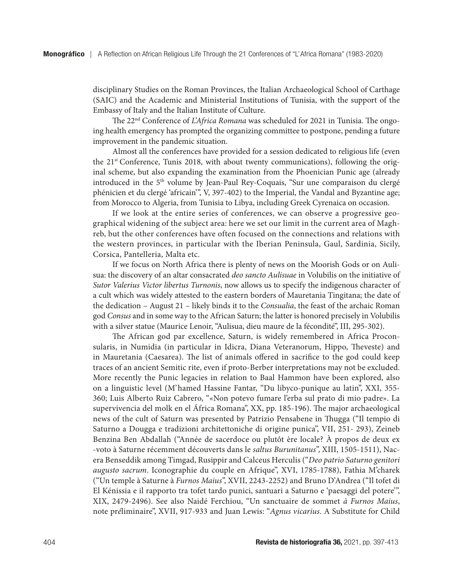disciplinary Studies on the Roman Provinces, the Italian Archaeological School of Carthage (SAIC) and the Academic and Ministerial Institutions of Tunisia, with the support of the Embassy of Italy and the Italian Institute of Culture.

The 22nd Conference of *L'Africa Romana* was scheduled for 2021 in Tunisia. The ongoing health emergency has prompted the organizing committee to postpone, pending a future improvement in the pandemic situation.

Almost all the conferences have provided for a session dedicated to religious life (even the 21<sup>st</sup> Conference, Tunis 2018, with about twenty communications), following the original scheme, but also expanding the examination from the Phoenician Punic age (already introduced in the 5<sup>th</sup> volume by Jean-Paul Rey-Coquais, "Sur une comparaison du clergé phénicien et du clergé 'africain'", V, 397-402) to the Imperial, the Vandal and Byzantine age; from Morocco to Algeria, from Tunisia to Libya, including Greek Cyrenaica on occasion.

If we look at the entire series of conferences, we can observe a progressive geographical widening of the subject area: here we set our limit in the current area of Maghreb, but the other conferences have often focused on the connections and relations with the western provinces, in particular with the Iberian Peninsula, Gaul, Sardinia, Sicily, Corsica, Pantelleria, Malta etc.

If we focus on North Africa there is plenty of news on the Moorish Gods or on Aulisua: the discovery of an altar consacrated *deo sancto Aulisuae* in Volubilis on the initiative of *Sutor Valerius Victor libertus Turnonis*, now allows us to specify the indigenous character of a cult which was widely attested to the eastern borders of Mauretania Tingitana; the date of the dedication – August 21 – likely binds it to the *Consualia*, the feast of the archaic Roman god *Consus* and in some way to the African Saturn; the latter is honored precisely in Volubilis with a silver statue (Maurice Lenoir, "Aulisua, dieu maure de la fécondité", III, 295-302).

The African god par excellence, Saturn, is widely remembered in Africa Proconsularis, in Numidia (in particular in Idicra, Diana Veteranorum, Hippo, Theveste) and in Mauretania (Caesarea). The list of animals offered in sacrifice to the god could keep traces of an ancient Semitic rite, even if proto-Berber interpretations may not be excluded. More recently the Punic legacies in relation to Baal Hammon have been explored, also on a linguistic level (M'hamed Hassine Fantar, "Du libyco-punique au latin", XXI, 355- 360; Luis Alberto Ruiz Cabrero, "«Non potevo fumare l'erba sul prato di mio padre». La supervivencia del molk en el África Romana", XX, pp. 185-196). The major archaeological news of the cult of Saturn was presented by Patrizio Pensabene in Thugga ("Il tempio di Saturno a Dougga e tradizioni architettoniche di origine punica", VII, 251- 293), Zeineb Benzina Ben Abdallah ("Année de sacerdoce ou plutôt ère locale? À propos de deux ex -voto à Saturne récemment découverts dans le *saltus Burunitanus*", XIII, 1505-1511), Nacera Benseddik among Timgad, Rusippir and Calceus Herculis ("*Deo patrio Saturno genitori augusto sacrum*. Iconographie du couple en Afrique", XVI, 1785-1788), Fathia M'charek ("Un temple à Saturne à *Furnos Maius*", XVII, 2243-2252) and Bruno D'Andrea ("Il tofet di El Kénissia e il rapporto tra tofet tardo punici, santuari a Saturno e 'paesaggi del potere'", XIX, 2479-2496). See also Naidé Ferchiou, "Un sanctuaire de sommet *à Furnos Maius*, note pr*é*liminaire", XVII, 917-933 and Juan Lewis: "*Agnus vicarius*. A Substitute for Child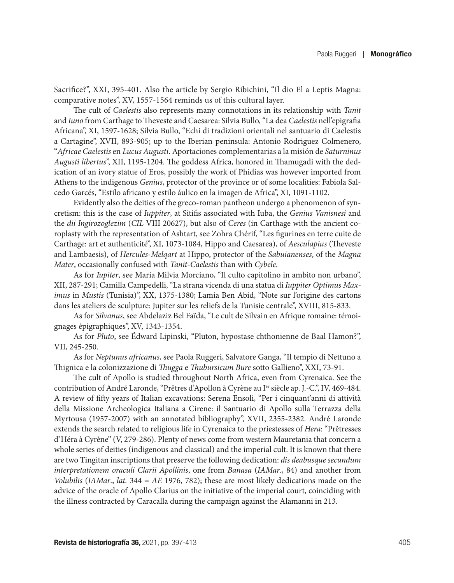Sacrifice?", XXI, 395-401. Also the article by Sergio Ribichini, "Il dio El a Leptis Magna: comparative notes", XV, 1557-1564 reminds us of this cultural layer.

The cult of *Caelestis* also represents many connotations in its relationship with *Tanit* and *Iuno* from Carthage to Theveste and Caesarea: Silvia Bullo, "La dea *Caelestis* nell'epigrafia Africana", XI, 1597-1628; Silvia Bullo, "Echi di tradizioni orientali nel santuario di Caelestis a Cartagine", XVII, 893-905; up to the Iberian peninsula: Antonio Rodriguez Colmenero, "*Africae Caelestis* en *Lucus Augusti*. Aportaciones complementarias a la misión de *Saturninus Augusti libertus*", XII, 1195-1204. The goddess Africa, honored in Thamugadi with the dedication of an ivory statue of Eros, possibly the work of Phidias was however imported from Athens to the indigenous *Genius*, protector of the province or of some localities: Fabiola Salcedo Garcés, "Estilo africano y estilo áulico en la imagen de Africa", XI, 1091-1102.

Evidently also the deities of the greco-roman pantheon undergo a phenomenon of syncretism: this is the case of *Iuppiter*, at Sitifis associated with Iuba, the *Genius Vanisnesi* and the *dii Ingirozoglezim* (*CIL* VIII 20627), but also of *Ceres* (in Carthage with the ancient coroplasty with the representation of Ashtart, see Zohra Chérif, "Les figurines en terre cuite de Carthage: art et authenticité", XI, 1073-1084, Hippo and Caesarea), of *Aesculapius* (Theveste and Lambaesis), of *Hercules*-*Melqart* at Hippo, protector of the *Sabuianenses*, of the *Magna Mater*, occasionally confused with *Tanit*-*Caelestis* than with *Cybele*.

As for *Iupiter*, see Maria Milvia Morciano, "Il culto capitolino in ambito non urbano", XII, 287-291; Camilla Campedelli, "La strana vicenda di una statua di *Iuppiter Optimus Maximus* in *Mustis* (Tunisia)", XX, 1375-1380; Lamia Ben Abid, "Note sur l'origine des cartons dans les ateliers de sculpture: Jupiter sur les reliefs de la Tunisie centrale", XVIII, 815-833.

As for *Silvanus*, see Abdelaziz Bel Faïda, "Le cult de Silvain en Afrique romaine: témoignages épigraphiques", XV, 1343-1354.

As for *Pluto*, see Édward Lipinski, "Pluton, hypostase chthonienne de Baal Hamon?", VII, 245-250.

As for *Neptunus africanus*, see Paola Ruggeri, Salvatore Ganga, "Il tempio di Nettuno a Thignica e la colonizzazione di *Thugga* e *Thubursicum Bure* sotto Gallieno", XXI, 73-91.

The cult of Apollo is studied throughout North Africa, even from Cyrenaica. See the contribution of André Laronde, "Prêtres d'Apollon à Cyrène au Ier siècle ap. J.-C.", IV, 469-484. A review of fifty years of Italian excavations: Serena Ensoli, "Per i cinquant'anni di attività della Missione Archeologica Italiana a Cirene: il Santuario di Apollo sulla Terrazza della Myrtousa (1957-2007) with an annotated bibliography", XVII, 2355-2382. André Laronde extends the search related to religious life in Cyrenaica to the priestesses of *Hera*: "Prêtresses d'Héra à Cyrène" (V, 279-286). Plenty of news come from western Mauretania that concern a whole series of deities (indigenous and classical) and the imperial cult. It is known that there are two Tingitan inscriptions that preserve the following dedication: *dis deabusque secundum interpretationem oraculi Clarii Apollinis*, one from *Banasa* (*IAMar*., 84) and another from *Volubilis* (*IAMar*., *lat.* 344 = *AE* 1976, 782); these are most likely dedications made on the advice of the oracle of Apollo Clarius on the initiative of the imperial court, coinciding with the illness contracted by Caracalla during the campaign against the Alamanni in 213.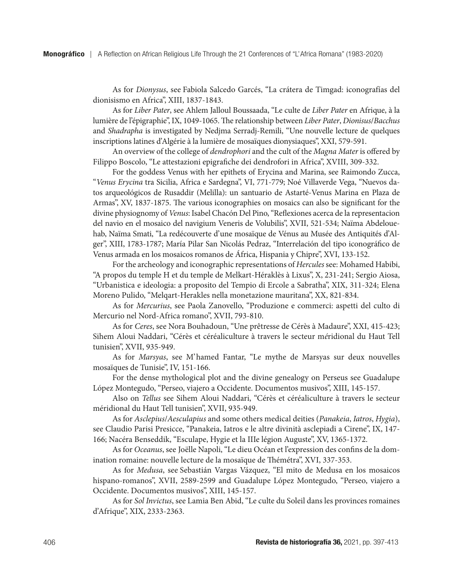As for *Dionysus*, see Fabiola Salcedo Garcés, "La crátera de Timgad: iconografías del dionisismo en Africa", XIII, 1837-1843.

As for *Liber Pater*, see Ahlem Jalloul Boussaada, "Le culte de *Liber Pater* en Afrique, à la lumière de l'épigraphie", IX, 1049-1065. The relationship between *Liber Pater*, *Dionisus*/*Bacchus* and *Shadrapha* is investigated by Nedjma Serradj-Remili, "Une nouvelle lecture de quelques inscriptions latines d'Algérie à la lumière de mosaïques dionysiaques", XXI, 579-591.

An overview of the college of *dendrophori* and the cult of the *Magna Mater* is offered by Filippo Boscolo, "Le attestazioni epigrafiche dei dendrofori in Africa", XVIII, 309-332.

For the goddess Venus with her epithets of Erycina and Marina, see Raimondo Zucca, "*Venus Erycina* tra Sicilia, Africa e Sardegna", VI, 771-779; Noé Villaverde Vega, "Nuevos datos arqueológicos de Rusaddir (Melilla): un santuario de Astarté-Venus Marina en Plaza de Armas", XV, 1837-1875. The various iconographies on mosaics can also be significant for the divine physiognomy of *Venus*: Isabel Chacón Del Pino, "Reflexiones acerca de la representacion del navio en el mosaico del navigium Veneris de Volubilis", XVII, 521-534; Naïma Abdelouehab, Naïma Smati, "La redécouverte d'une mosaïque de Vénus au Musée des Antiquités d'Alger", XIII, 1783-1787; María Pilar San Nicolás Pedraz, "Interrelación del tipo iconográfico de Venus armada en los mosaicos romanos de África, Hispania y Chipre", XVI, 133-152.

For the archeology and iconographic representations of *Hercules* see: Mohamed Habibi, "A propos du temple H et du temple de Melkart-Héraklès à Lixus", X, 231-241; Sergio Aiosa, "Urbanistica e ideologia: a proposito del Tempio di Ercole a Sabratha", XIX, 311-324; Elena Moreno Pulido, "Melqart-Herakles nella monetazione mauritana", XX, 821-834.

As for *Mercurius*, see Paola Zanovello, "Produzione e commerci: aspetti del culto di Mercurio nel Nord-Africa romano", XVII, 793-810.

As for *Ceres*, see Nora Bouhadoun, "Une prêtresse de Cérès à Madaure", XXI, 415-423; Sihem Aloui Naddari, "Cérès et céréaliculture à travers le secteur m*é*ridional du Haut Tell tunisien", XVII, 935-949.

As for *Marsyas*, see M'hamed Fantar, "Le mythe de Marsyas sur deux nouvelles mosaïques de Tunisie", IV, 151-166.

For the dense mythological plot and the divine genealogy on Perseus see Guadalupe López Montegudo, "Perseo, viajero a Occidente. Documentos musivos", XIII, 145-157.

Also on *Tellus* see Sihem Aloui Naddari, "Cérès et céréaliculture à travers le secteur méridional du Haut Tell tunisien", XVII, 935-949.

As for *Asclepius*/*Aesculapius* and some others medical deities (*Panakeia*, *Iatros*, *Hygia*), see Claudio Parisi Presicce, "Panakeia, Iatros e le altre divinità asclepiadi a Cirene", IX, 147- 166; Nacéra Benseddik, "Esculape, Hygie et la IIIe légion Auguste", XV, 1365-1372.

As for *Oceanus*, see Joëlle Napoli, "Le dieu Océan et l'expression des confins de la domination romaine: nouvelle lecture de la mosaïque de Thémétra", XVI, 337-353.

As for *Medusa*, see Sebastián Vargas Vázquez, "El mito de Medusa en los mosaicos hispano-romanos", XVII, 2589-2599 and Guadalupe López Montegudo, "Perseo, viajero a Occidente. Documentos musivos", XIII, 145-157.

As for *Sol Invictus*, see Lamia Ben Abid, "Le culte du Soleil dans les provinces romaines d'Afrique", XIX, 2333-2363.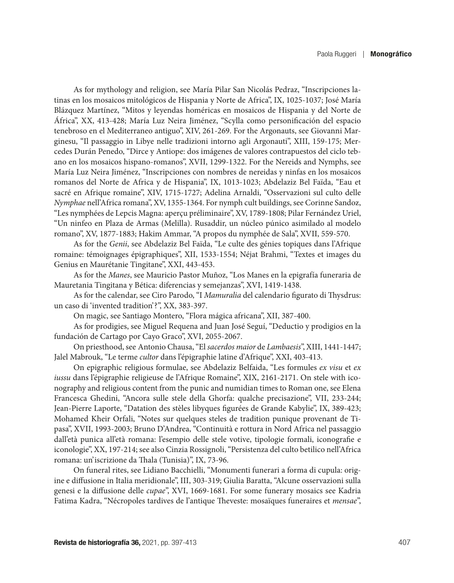As for mythology and religion, see María Pilar San Nicolás Pedraz, "Inscripciones latinas en los mosaicos mitológicos de Hispania y Norte de Africa", IX, 1025-1037; José María Blázquez Martínez, "Mitos y leyendas homéricas en mosaicos de Hispania y del Norte de África", XX, 413-428; María Luz Neira Jiménez, "Scylla como personificación del espacio tenebroso en el Mediterraneo antiguo", XIV, 261-269. For the Argonauts, see Giovanni Marginesu, "Il passaggio in Libye nelle tradizioni intorno agli Argonauti", XIII, 159-175; Mercedes Durán Penedo, "Dirce y Antiope: dos imágenes de valores contrapuestos del ciclo tebano en los mosaicos hispano-romanos", XVII, 1299-1322. For the Nereids and Nymphs, see María Luz Neira Jiménez, "Inscripciones con nombres de nereidas y ninfas en los mosaicos romanos del Norte de Africa y de Hispania", IX, 1013-1023; Abdelaziz Bel Faïda, "Eau et sacré en Afrique romaine", XIV, 1715-1727; Adelina Arnaldi, "Osservazioni sul culto delle *Nymphae* nell'Africa romana", XV, 1355-1364. For nymph cult buildings, see Corinne Sandoz, "Les nymphées de Lepcis Magna: aperçu préliminaire", XV, 1789-1808; Pilar Fernández Uriel, "Un ninfeo en Plaza de Armas (Melilla). Rusaddir, un núcleo púnico asimilado al modelo romano", XV, 1877-1883; Hakim Ammar, "A propos du nymphée de Sala", XVII, 559-570.

As for the *Genii*, see Abdelaziz Bel Faïda, "Le culte des génies topiques dans l'Afrique romaine: témoignages épigraphiques", XII, 1533-1554; Néjat Brahmi, "Textes et images du Genius en Maurétanie Tingitane", XXI, 443-453.

As for the *Manes*, see Mauricio Pastor Muñoz, "Los Manes en la epigrafía funeraria de Mauretania Tingitana y Bética: diferencias y semejanzas", XVI, 1419-1438.

As for the calendar, see Ciro Parodo, "I *Mamuralia* del calendario figurato di Thysdrus: un caso di 'invented tradition'?", XX, 383-397.

On magic, see Santiago Montero, "Flora mágica africana", XII, 387-400.

As for prodigies, see Miguel Requena and Juan José Seguí, "Deductio y prodigios en la fundación de Cartago por Cayo Graco", XVI, 2055-2067.

On priesthood, see Antonio Chausa, "El *sacerdos maior* de *Lambaesis*", XIII, 1441-1447; Jalel Mabrouk, "Le terme *cultor* dans l'épigraphie latine d'Afrique", XXI, 403-413.

On epigraphic religious formulae, see Abdelaziz Belfaida, "Les formules *ex visu* et *ex iussu* dans l'épigraphie religieuse de l'Afrique Romaine", XIX, 2161-2171. On stele with iconography and religious content from the punic and numidian times to Roman one, see Elena Francesca Ghedini, "Ancora sulle stele della Ghorfa: qualche precisazione", VII, 233-244; Jean-Pierre Laporte, "Datation des stèles libyques figurées de Grande Kabylie", IX, 389-423; Mohamed Kheir Orfali, "Notes sur quelques steles de tradition punique provenant de Tipasa", XVII, 1993-2003; Bruno D'Andrea, "Continuità e rottura in Nord Africa nel passaggio dall'età punica all'età romana: l'esempio delle stele votive, tipologie formali, iconografie e iconologie", XX, 197-214; see also Cinzia Rossignoli, "Persistenza del culto betilico nell'Africa romana: un'iscrizione da Thala (Tunisia)", IX, 73-96.

On funeral rites, see Lidiano Bacchielli, "Monumenti funerari a forma di cupula: origine e diffusione in Italia meridionale", III, 303-319; Giulia Baratta, "Alcune osservazioni sulla genesi e la diffusione delle *cupae*", XVI, 1669-1681. For some funerary mosaics see Kadria Fatima Kadra, "Nécropoles tardives de l'antique Theveste: mosaïques funeraires et *mensae*",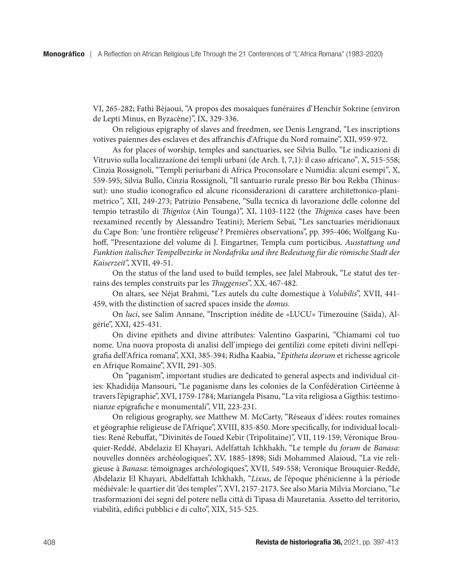VI, 265-282; Fathi Bèjaoui, "A propos des mosaiques funéraires d'Henchir Sokrine (environ de Lepti Minus, en Byzacène)", IX, 329-336.

On religious epigraphy of slaves and freedmen, see Denis Lengrand, "Les inscriptions votives paiennes des esclaves et des affranchis d'Afrique du Nord romaine", XII, 959-972.

As for places of worship, temples and sanctuaries, see Silvia Bullo, "Le indicazioni di Vitruvio sulla localizzazione dei templi urbani (de Arch. I, 7,1): il caso africano"*,* X, 515-558; Cinzia Rossignoli, "Templi periurbani di Africa Proconsolare e Numidia: alcuni esempi*"*, X, 559-595; Silvia Bullo, Cinzia Rossignoli, "Il santuario rurale presso Bir bou Rekba (Thinussut): uno studio iconografico ed alcune riconsiderazioni di carattere architettonico-planimetrico*"*, XII, 249-273; Patrizio Pensabene, "Sulla tecnica di lavorazione delle colonne del tempio tetrastilo di *Thignica* (Ain Tounga)", XI, 1103-1122 (the *Thignica* cases have been reexamined recently by Alessandro Teatini); Meriem Sebaï, "Les sanctuaries méridionaux du Cape Bon: 'une frontière religeuse'? Premières observations", pp. 395-406; Wolfgang Kuhoff, "Presentazione del volume di J. Eingartner, Templa cum porticibus. *Ausstattung und Funktion italischer Tempelbezirke in Nordafrika und ihre Bedeutung für die römische Stadt der Kaiserzeit*", XVII, 49-51.

On the status of the land used to build temples, see Jalel Mabrouk, "Le statut des terrains des temples construits par les *Thuggenses*", XX, 467-482.

On altars, see Néjat Brahmi, "Les autels du culte domestique à *Volubilis*", XVII, 441- 459, with the distinction of sacred spaces inside the *domus*.

On *luci*, see Salim Annane, "Inscription inédite de *«*LUCU*»* Timezouine (Saïda), Algérie", XXI, 425-431.

On divine epithets and divine attributes: Valentino Gasparini, "Chiamami col tuo nome. Una nuova proposta di analisi dell'impiego dei gentilizi come epiteti divini nell'epigrafia dell'Africa romana", XXI, 385-394; Ridha Kaabia, "*Epitheta deorum* et richesse agricole en Afrique Romaine", XVII, 291-305.

On "paganism", important studies are dedicated to general aspects and individual cities: Khadidija Mansouri, "Le paganisme dans les colonies de la Confédération Cirtéenne à travers l'épigraphie", XVI, 1759-1784; Mariangela Pisanu, "La vita religiosa a Gigthis: testimonianze epigrafiche e monumentali", VII, 223-231.

On religious geography, see Matthew M. McCarty, "Réseaux d'idées: routes romaines et géographie religieuse de l'Afrique", XVIII, 835-850. More specifically, for individual localities: René Rebuffat, "Divinités de l'oued Kebir (Tripolitaine)", VII, 119-159; Véronique Brouquier-Reddé, Abdelaziz El Khayari, Adelfattah Ichkhakh, "Le temple du *forum* de *Banasa*: nouvelles données archéologiques", XV, 1885-1898; Sidi Mohammed Alaioud, "La vie religieuse à *Banasa*: témoignages arch*é*ologiques", XVII, 549-558; Veronique Brouquier-Reddé, Abdelaziz El Khayari, Abdelfattah Ichkhakh, "*Lixus*, de l'époque phénicienne à la période médiévale: le quartier dit 'des temples'", XVI, 2157-2173. See also Maria Milvia Morciano, "Le trasformazioni dei segni del potere nella città di Tipasa di Mauretania. Assetto del territorio, viabilità, edifici pubblici e di culto", XIX, 515-525.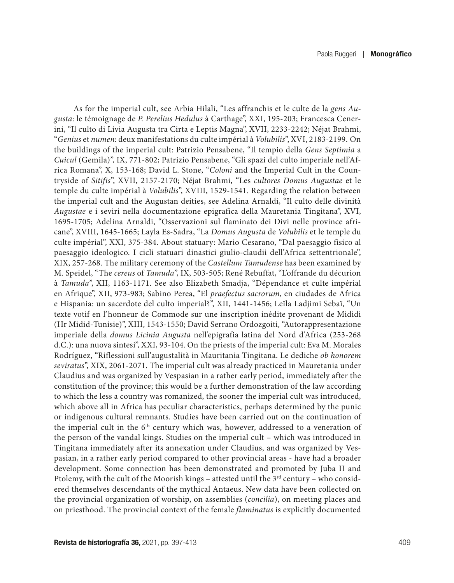As for the imperial cult, see Arbia Hilali, "Les affranchis et le culte de la *gens Augusta*: le témoignage de *P. Perelius Hedulus* à Carthage", XXI, 195-203; Francesca Cenerini, "Il culto di Livia Augusta tra Cirta e Leptis Magna", XVII, 2233-2242; Néjat Brahmi, "*Genius* et *numen*: deux manifestations du culte impérial à *Volubilis*", XVI, 2183-2199. On the buildings of the imperial cult: Patrizio Pensabene, "Il tempio della *Gens Septimia* a *Cuicul* (Gemila)", IX, 771-802; Patrizio Pensabene, "Gli spazi del culto imperiale nell'Africa Romana", X, 153-168; David L. Stone, "*Coloni* and the Imperial Cult in the Countryside of *Sitifis*", XVII, 2157-2170; Néjat Brahmi, "Les *cultores Domus Augustae* et le temple du culte impérial à *Volubilis*", XVIII, 1529-1541. Regarding the relation between the imperial cult and the Augustan deities, see Adelina Arnaldi, "Il culto delle divinità *Augustae* e i seviri nella documentazione epigrafica della Mauretania Tingitana", XVI, 1695-1705; Adelina Arnaldi, "Osservazioni sul flaminato dei Divi nelle province africane", XVIII, 1645-1665; Layla Es-Sadra, "La *Domus Augusta* de *Volubilis* et le temple du culte impérial", XXI, 375-384. About statuary: Mario Cesarano, "Dal paesaggio fisico al paesaggio ideologico. I cicli statuari dinastici giulio-claudii dell'Africa settentrionale", XIX, 257-268. The military ceremony of the *Castellum Tamudense* has been examined by M. Speidel, "The *cereus* of *Tamuda*", IX, 503-505; René Rebuffat, "L'offrande du décurion à *Tamuda*", XII, 1163-1171. See also Elizabeth Smadja, "Dépendance et culte impérial en Afrique", XII, 973-983; Sabino Perea, "El *praefectus sacrorum*, en ciudades de Africa e Hispania: un sacerdote del culto imperial?", XII, 1441-1456; Leïla Ladjimi Sebaï, "Un texte votif en l'honneur de Commode sur une inscription inédite provenant de Mididi (Hr Midid-Tunisie)", XIII, 1543-1550; David Serrano Ordozgoiti, "Autorappresentazione imperiale della *domus Licinia Augusta* nell'epigrafia latina del Nord d'Africa (253-268 d.C.): una nuova sintesi", XXI, 93-104. On the priests of the imperial cult: Eva M. Morales Rodríguez, "Riflessioni sull'augustalità in Mauritania Tingitana. Le dediche *ob honorem seviratus*", XIX, 2061-2071. The imperial cult was already practiced in Mauretania under Claudius and was organized by Vespasian in a rather early period, immediately after the constitution of the province; this would be a further demonstration of the law according to which the less a country was romanized, the sooner the imperial cult was introduced, which above all in Africa has peculiar characteristics, perhaps determined by the punic or indigenous cultural remnants. Studies have been carried out on the continuation of the imperial cult in the 6<sup>th</sup> century which was, however, addressed to a veneration of the person of the vandal kings. Studies on the imperial cult – which was introduced in Tingitana immediately after its annexation under Claudius, and was organized by Vespasian, in a rather early period compared to other provincial areas - have had a broader development. Some connection has been demonstrated and promoted by Juba II and Ptolemy, with the cult of the Moorish kings – attested until the  $3<sup>rd</sup>$  century – who considered themselves descendants of the mythical Antaeus. New data have been collected on the provincial organization of worship, on assemblies (*concilia*), on meeting places and on priesthood. The provincial context of the female *flaminatus* is explicitly documented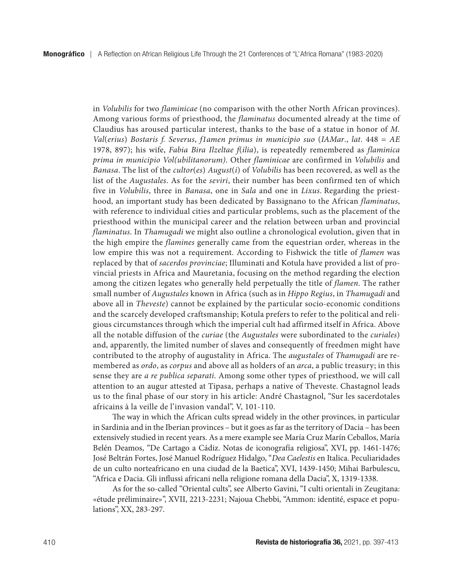in *Volubilis* for two *flaminicae* (no comparison with the other North African provinces). Among various forms of priesthood, the *flaminatus* documented already at the time of Claudius has aroused particular interest, thanks to the base of a statue in honor of *M. Val*(*erius*) *Bostaris f. Severus*, *f1amen primus in municipio suo* (*IAMar*., *lat*. 448 = *AE*  1978, 897); his wife, *Fabia Bira Ilzeltae f*(*ilia*), is repeatedly remembered as *flaminica prima in municipio Vol(ubilitanorum)*. Other *flaminicae* are confirmed in *Volubilis* and *Banasa*. The list of the *cultor*(*es*) *August*(*i*) of *Volubilis* has been recovered, as well as the list of the *Augustales*. As for the *seviri*, their number has been confirmed ten of which five in *Volubilis*, three in *Banasa*, one in *Sala* and one in *Lixus*. Regarding the priesthood, an important study has been dedicated by Bassignano to the African *flaminatus*, with reference to individual cities and particular problems, such as the placement of the priesthood within the municipal career and the relation between urban and provincial *flaminatus*. In *Thamugadi* we might also outline a chronological evolution, given that in the high empire the *flamines* generally came from the equestrian order, whereas in the low empire this was not a requirement. According to Fishwick the title of *flamen* was replaced by that of *sacerdos provinciae*; Illuminati and Kotula have provided a list of provincial priests in Africa and Mauretania, focusing on the method regarding the election among the citizen legates who generally held perpetually the title of *flamen*. The rather small number of *Augustales* known in Africa (such as in *Hippo Regius*, in *Thamugadi* and above all in *Theveste*) cannot be explained by the particular socio-economic conditions and the scarcely developed craftsmanship; Kotula prefers to refer to the political and religious circumstances through which the imperial cult had affirmed itself in Africa. Above all the notable diffusion of the *curiae* (the *Augustales* were subordinated to the *curiales*) and, apparently, the limited number of slaves and consequently of freedmen might have contributed to the atrophy of augustality in Africa. The *augustales* of *Thamugadi* are remembered as *ordo*, as *corpus* and above all as holders of an *arca*, a public treasury; in this sense they are *a re publica separati*. Among some other types of priesthood, we will call attention to an augur attested at Tipasa, perhaps a native of Theveste. Chastagnol leads us to the final phase of our story in his article: André Chastagnol, "Sur les sacerdotales africains à la veille de l'invasion vandal", V, 101-110.

The way in which the African cults spread widely in the other provinces, in particular in Sardinia and in the Iberian provinces – but it goes as far as the territory of Dacia – has been extensively studied in recent years. As a mere example see María Cruz Marín Ceballos, María Belén Deamos, "De Cartago a Cádiz. Notas de iconografía religiosa", XVI, pp. 1461-1476; José Beltrán Fortes, José Manuel Rodríguez Hidalgo, "*Dea Caelestis* en Italica. Peculiaridades de un culto norteafricano en una ciudad de la Baetica", XVI, 1439-1450; Mihai Barbulescu, "Africa e Dacia. Gli influssi africani nella religione romana della Dacia", X, 1319-1338.

As for the so-called "Oriental cults", see Alberto Gavini, "I culti orientali in Zeugitana: «étude préliminaire»", XVII, 2213-2231; Najoua Chebbi, "Ammon: identité, espace et populations", XX, 283-297.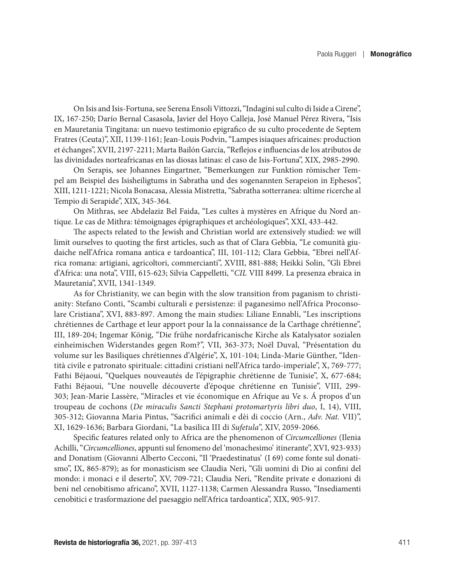On Isis and Isis-Fortuna, see Serena Ensoli Vittozzi, "Indagini sul culto di Iside a Cirene", IX, 167-250; Darío Bernal Casasola, Javier del Hoyo Calleja, José Manuel Pérez Rivera, "Isis en Mauretania Tingitana: un nuevo testimonio epigrafico de su culto procedente de Septem Fratres (Ceuta)", XII, 1139-1161; Jean-Louis Podvin, "Lampes isiaques africaines: production et échanges", XVII, 2197-2211; Marta Bailón García, "Reflejos e influencias de los atributos de las divinidades norteafricanas en las diosas latinas: el caso de Isis-Fortuna", XIX, 2985-2990.

On Serapis, see Johannes Eingartner, "Bemerkungen zur Funktion römischer Tempel am Beispiel des Isisheiligtums in Sabratha und des sogenannten Serapeion in Ephesos", XIII, 1211-1221; Nicola Bonacasa, Alessia Mistretta, "Sabratha sotterranea: ultime ricerche al Tempio di Serapide", XIX, 345-364.

On Mithras, see Abdelaziz Bel Faida, "Les cultes à mystères en Afrique du Nord antique. Le cas de Mithra: témoignages épigraphiques et archéologiques", XXI, 433-442.

The aspects related to the Jewish and Christian world are extensively studied: we will limit ourselves to quoting the first articles, such as that of Clara Gebbia, "Le comunità giudaiche nell'Africa romana antica e tardoantica", III, 101-112; Clara Gebbia, "Ebrei nell'Africa romana: artigiani, agricoltori, commercianti", XVIII, 881-888; Heikki Solin, "Gli Ebrei d'Africa: una nota", VIII, 615-623; Silvia Cappelletti, "*CIL* VIII 8499. La presenza ebraica in Mauretania", XVII, 1341-1349.

As for Christianity, we can begin with the slow transition from paganism to christianity: Stefano Conti, "Scambi culturali e persistenze: il paganesimo nell'Africa Proconsolare Cristiana", XVI, 883-897. Among the main studies: Liliane Ennabli, "Les inscriptions chrétiennes de Carthage et leur apport pour la la connaissance de la Carthage chrétienne", III, 189-204; Ingemar König, "Die frühe nordafricanische Kirche als Katalysator sozialen einheimischen Widerstandes gegen Rom?", VII, 363-373; Noël Duval, "Présentation du volume sur les Basiliques chrétiennes d'Algérie", X, 101-104; Linda-Marie Günther, "Identità civile e patronato spirituale: cittadini cristiani nell'Africa tardo-imperiale", X, 769-777; Fathi Béjaoui, "Quelques nouveautés de l'épigraphie chrétienne de Tunisie", X, 677-684; Fathi Béjaoui, "Une nouvelle découverte d'époque chrétienne en Tunisie", VIII, 299- 303; Jean-Marie Lassère, "Miracles et vie économique en Afrique au Ve s. Á propos d'un troupeau de cochons (*De miraculis Sancti Stephani protomartyris libri duo*, I, 14), VIII, 305-312; Giovanna Maria Pintus, "Sacrifici animali e dèi di coccio (Arn., *Adv. Nat.* VII)", XI, 1629-1636; Barbara Giordani, "La basilica III di *Sufetula*", XIV, 2059-2066.

Specific features related only to Africa are the phenomenon of *Circumcelliones* (Ilenia Achilli, "*Circumcelliones*, appunti sul fenomeno del 'monachesimo' itinerante", XVI, 923-933) and Donatism (Giovanni Alberto Cecconi, "Il 'Praedestinatus' (I 69) come fonte sul donatismo", IX, 865-879); as for monasticism see Claudia Neri, "Gli uomini di Dio ai confini del mondo: i monaci e il deserto", XV, 709-721; Claudia Neri, "Rendite private e donazioni di beni nel cenobitismo africano", XVII, 1127-1138; Carmen Alessandra Russo, "Insediamenti cenobitici e trasformazione del paesaggio nell'Africa tardoantica", XIX, 905-917.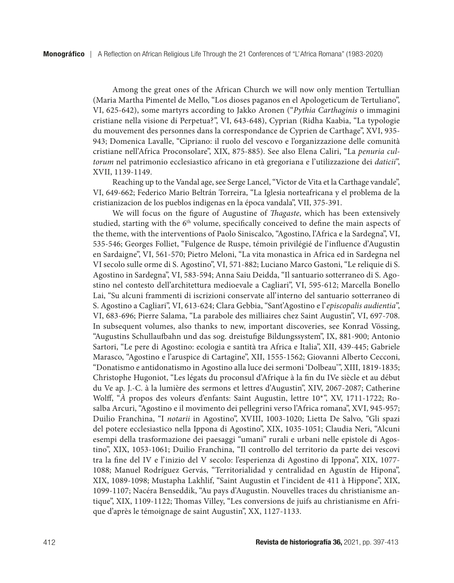Among the great ones of the African Church we will now only mention Tertullian (Maria Martha Pimentel de Mello, "Los dioses paganos en el Apologeticum de Tertuliano", VI, 625-642), some martyrs according to Jakko Aronen ("*Pythia Carthaginis* o immagini cristiane nella visione di Perpetua?", VI, 643-648), Cyprian (Ridha Kaabia, "La typologie du mouvement des personnes dans la correspondance de Cyprien de Carthage", XVI, 935- 943; Domenica Lavalle, "Cipriano: il ruolo del vescovo e l'organizzazione delle comunità cristiane nell'Africa Proconsolare", XIX, 875-885). See also Elena Caliri, "La *penuria cultorum* nel patrimonio ecclesiastico africano in età gregoriana e l'utilizzazione dei *daticii*", XVII, 1139-1149.

Reaching up to the Vandal age, see Serge Lancel, "Victor de Vita et la Carthage vandale", VI, 649-662; Federico Mario Beltrán Torreira, "La Iglesia norteafricana y el problema de la cristianizacion de los pueblos indigenas en la época vandala", VII, 375-391.

We will focus on the figure of Augustine of *Thagaste*, which has been extensively studied, starting with the 6<sup>th</sup> volume, specifically conceived to define the main aspects of the theme, with the interventions of Paolo Siniscalco, "Agostino, l'Africa e la Sardegna", VI, 535-546; Georges Folliet, "Fulgence de Ruspe, témoin privilégié de l'influence d'Augustin en Sardaigne", VI, 561-570; Pietro Meloni, "La vita monastica in Africa ed in Sardegna nel VI secolo sulle orme di S. Agostino", VI, 571-882; Luciano Marco Gastoni, "Le reliquie di S. Agostino in Sardegna", VI, 583-594; Anna Saiu Deidda, "Il santuario sotterraneo di S. Agostino nel contesto dell'architettura medioevale a Cagliari", VI, 595-612; Marcella Bonello Lai, "Su alcuni frammenti di iscrizioni conservate all'interno del santuario sotterraneo di S. Agostino a Cagliari", VI, 613-624; Clara Gebbia, "Sant'Agostino e l'*episcopalis audientia*", VI, 683-696; Pierre Salama, "La parabole des milliaires chez Saint Augustin", VI, 697-708. In subsequent volumes, also thanks to new, important discoveries, see Konrad Vössing, "Augustins Schullaufbahn und das sog. dreistufige Bildungssystem", IX, 881-900; Antonio Sartori, "Le pere di Agostino: ecologia e santità tra Africa e Italia", XII, 439-445; Gabriele Marasco, "Agostino e l'aruspice di Cartagine", XII, 1555-1562; Giovanni Alberto Cecconi, "Donatismo e antidonatismo in Agostino alla luce dei sermoni 'Dolbeau'", XIII, 1819-1835; Christophe Hugoniot, "Les légats du proconsul d'Afrique à la fin du IVe siècle et au début du Ve ap. J.-C. à la lumière des sermons et lettres d'Augustin", XIV, 2067-2087; Catherine Wolff, "*À* propos des voleurs d'enfants: Saint Augustin, lettre 10\*", XV, 1711-1722; Rosalba Arcuri, "Agostino e il movimento dei pellegrini verso l'Africa romana", XVI, 945-957; Duilio Franchina, "I *notarii* in Agostino", XVIII, 1003-1020; Lietta De Salvo, "Gli spazi del potere ecclesiastico nella Ippona di Agostino", XIX, 1035-1051; Claudia Neri, "Alcuni esempi della trasformazione dei paesaggi "umani" rurali e urbani nelle epistole di Agostino", XIX, 1053-1061; Duilio Franchina, "Il controllo del territorio da parte dei vescovi tra la fine del IV e l'inizio del V secolo: l'esperienza di Agostino di Ippona", XIX, 1077- 1088; Manuel Rodríguez Gervás, "Territorialidad y centralidad en Agustín de Hipona", XIX, 1089-1098; Mustapha Lakhlif, "Saint Augustin et l'incident de 411 à Hippone", XIX, 1099-1107; Nacéra Benseddik, "Au pays d'Augustin. Nouvelles traces du christianisme antique", XIX, 1109-1122; Thomas Villey, "Les conversions de juifs au christianisme en Afrique d'après le témoignage de saint Augustin", XX, 1127-1133.